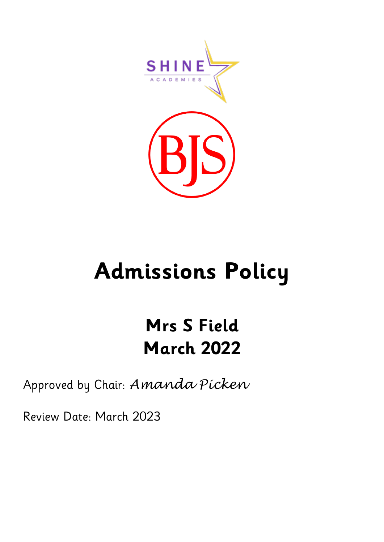

# **Admissions Policy**

## **Mrs S Field March 2022**

### Approved by Chair: *Amanda Picken*

Review Date: March 2023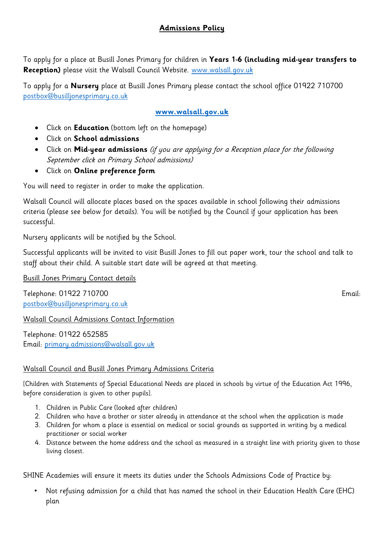#### **Admissions Policy**

To apply for a place at Busill Jones Primary for children in **Years 1-6 (including mid-year transfers to Reception)** please visit the Walsall Council Website. [www.walsall.gov.uk](http://www.walsall.gov.uk/)

To apply for a **Nursery** place at Busill Jones Primary please contact the school office 01922 710700 [postbox@busilljonesprimary.co.uk](mailto:postbox@busilljonesprimary.co.uk)

#### **[www.walsall.gov.uk](http://www.walsall.gov.uk/)**

- Click on **Education** (bottom left on the homepage)
- Click on **School admissions**
- Click on **Mid-year admissions** (if you are applying for a Reception place for the following September click on Primary School admissions)
- Click on **Online preference form**

You will need to register in order to make the application.

Walsall Council will allocate places based on the spaces available in school following their admissions criteria (please see below for details). You will be notified by the Council if your application has been successful.

Nursery applicants will be notified by the School.

Successful applicants will be invited to visit Busill Jones to fill out paper work, tour the school and talk to staff about their child. A suitable start date will be agreed at that meeting.

Busill Jones Primary Contact details

Telephone: 01922 710700 Email: [postbox@busilljonesprimary.co.uk](mailto:postbox@busilljonesprimary.co.uk)

Walsall Council Admissions Contact Information

Telephone: 01922 652585 Email: [primary.admissions@walsall.gov.uk](mailto:primary.admissions@walsall.gov.uk)

#### Walsall Council and Busill Jones Primary Admissions Criteria

[Children with Statements of Special Educational Needs are placed in schools by virtue of the Education Act 1996, before consideration is given to other pupils].

- 1. Children in Public Care (looked after children)
- 2. Children who have a brother or sister already in attendance at the school when the application is made
- 3. Children for whom a place is essential on medical or social grounds as supported in writing by a medical practitioner or social worker
- 4. Distance between the home address and the school as measured in a straight line with priority given to those living closest.

SHINE Academies will ensure it meets its duties under the Schools Admissions Code of Practice by:

• Not refusing admission for a child that has named the school in their Education Health Care (EHC) plan